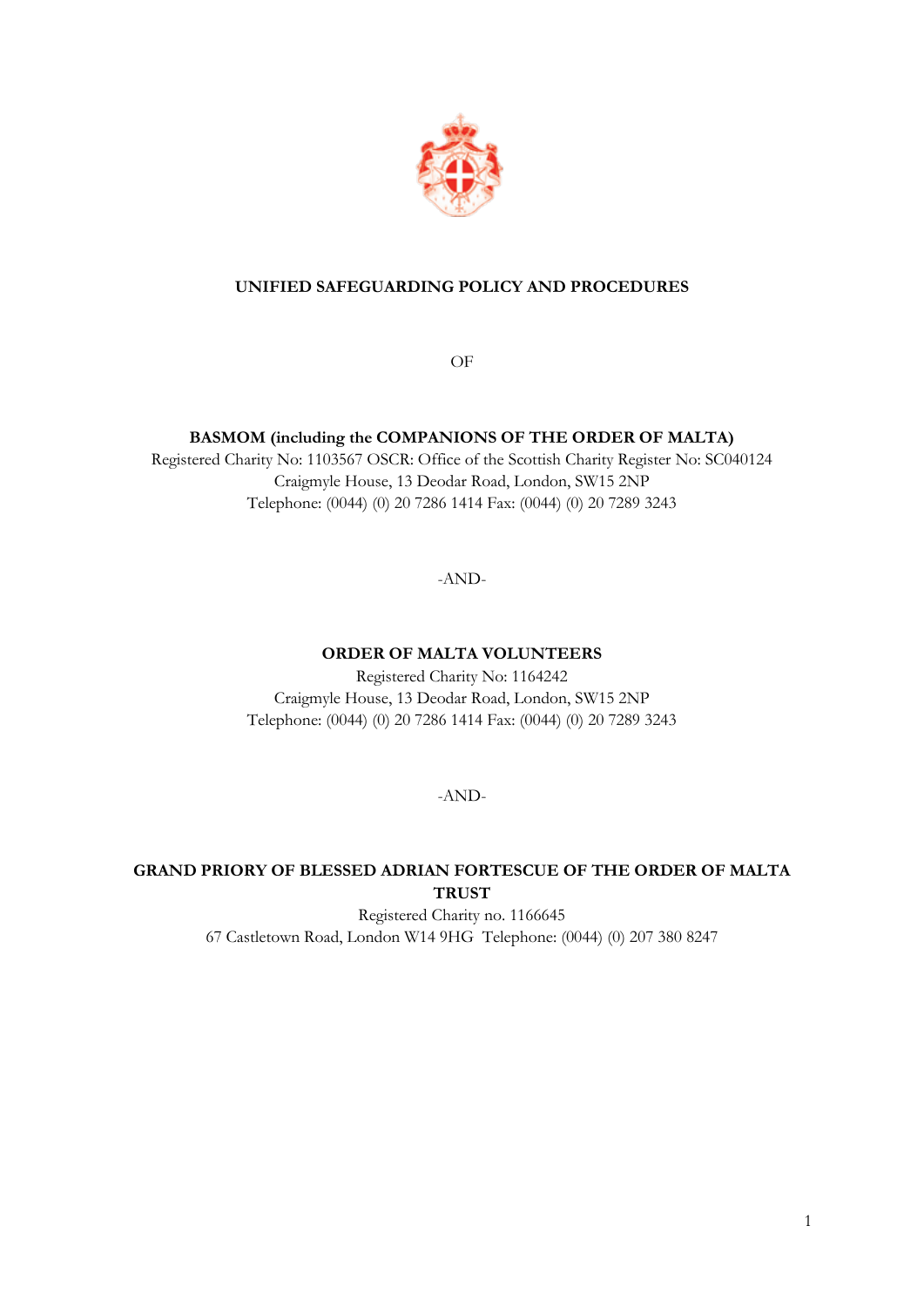

# **UNIFIED SAFEGUARDING POLICY AND PROCEDURES**

OF

### **BASMOM (including the COMPANIONS OF THE ORDER OF MALTA)**

Registered Charity No: 1103567 OSCR: Office of the Scottish Charity Register No: SC040124 Craigmyle House, 13 Deodar Road, London, SW15 2NP Telephone: (0044) (0) 20 7286 1414 Fax: (0044) (0) 20 7289 3243

-AND-

**ORDER OF MALTA VOLUNTEERS**

Registered Charity No: 1164242 Craigmyle House, 13 Deodar Road, London, SW15 2NP Telephone: (0044) (0) 20 7286 1414 Fax: (0044) (0) 20 7289 3243

-AND-

# **GRAND PRIORY OF BLESSED ADRIAN FORTESCUE OF THE ORDER OF MALTA TRUST**

Registered Charity no. 1166645 67 Castletown Road, London W14 9HG Telephone: (0044) (0) 207 380 8247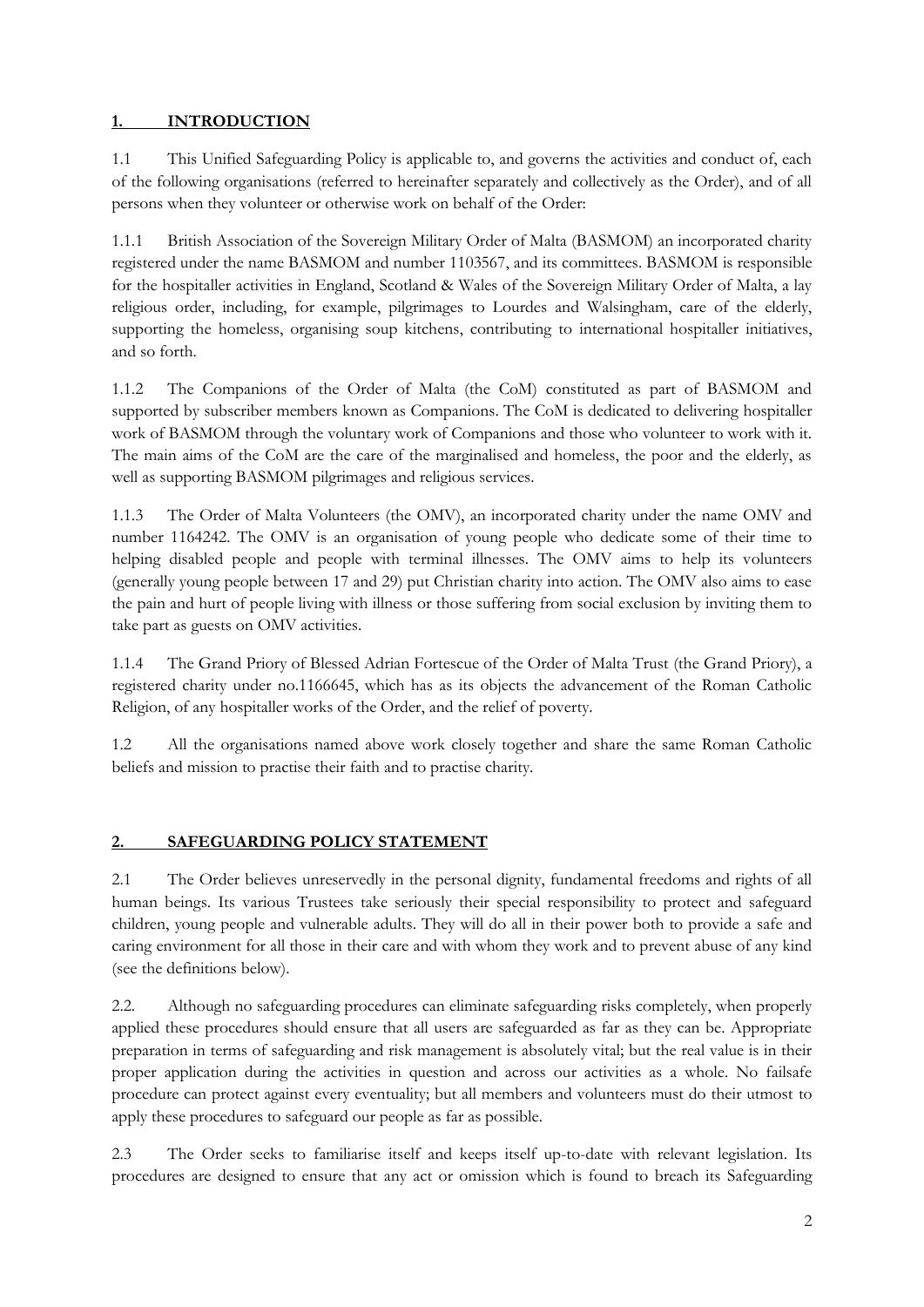# **1. INTRODUCTION**

1.1 This Unified Safeguarding Policy is applicable to, and governs the activities and conduct of, each of the following organisations (referred to hereinafter separately and collectively as the Order), and of all persons when they volunteer or otherwise work on behalf of the Order:

1.1.1 British Association of the Sovereign Military Order of Malta (BASMOM) an incorporated charity registered under the name BASMOM and number 1103567, and its committees. BASMOM is responsible for the hospitaller activities in England, Scotland & Wales of the Sovereign Military Order of Malta, a lay religious order, including, for example, pilgrimages to Lourdes and Walsingham, care of the elderly, supporting the homeless, organising soup kitchens, contributing to international hospitaller initiatives, and so forth.

1.1.2 The Companions of the Order of Malta (the CoM) constituted as part of BASMOM and supported by subscriber members known as Companions. The CoM is dedicated to delivering hospitaller work of BASMOM through the voluntary work of Companions and those who volunteer to work with it. The main aims of the CoM are the care of the marginalised and homeless, the poor and the elderly, as well as supporting BASMOM pilgrimages and religious services.

1.1.3 The Order of Malta Volunteers (the OMV), an incorporated charity under the name OMV and number 1164242. The OMV is an organisation of young people who dedicate some of their time to helping disabled people and people with terminal illnesses. The OMV aims to help its volunteers (generally young people between 17 and 29) put Christian charity into action. The OMV also aims to ease the pain and hurt of people living with illness or those suffering from social exclusion by inviting them to take part as guests on OMV activities.

1.1.4 The Grand Priory of Blessed Adrian Fortescue of the Order of Malta Trust (the Grand Priory), a registered charity under no.1166645, which has as its objects the advancement of the Roman Catholic Religion, of any hospitaller works of the Order, and the relief of poverty.

1.2 All the organisations named above work closely together and share the same Roman Catholic beliefs and mission to practise their faith and to practise charity.

# **2. SAFEGUARDING POLICY STATEMENT**

2.1 The Order believes unreservedly in the personal dignity, fundamental freedoms and rights of all human beings. Its various Trustees take seriously their special responsibility to protect and safeguard children, young people and vulnerable adults. They will do all in their power both to provide a safe and caring environment for all those in their care and with whom they work and to prevent abuse of any kind (see the definitions below).

2.2. Although no safeguarding procedures can eliminate safeguarding risks completely, when properly applied these procedures should ensure that all users are safeguarded as far as they can be. Appropriate preparation in terms of safeguarding and risk management is absolutely vital; but the real value is in their proper application during the activities in question and across our activities as a whole. No failsafe procedure can protect against every eventuality; but all members and volunteers must do their utmost to apply these procedures to safeguard our people as far as possible.

2.3 The Order seeks to familiarise itself and keeps itself up-to-date with relevant legislation. Its procedures are designed to ensure that any act or omission which is found to breach its Safeguarding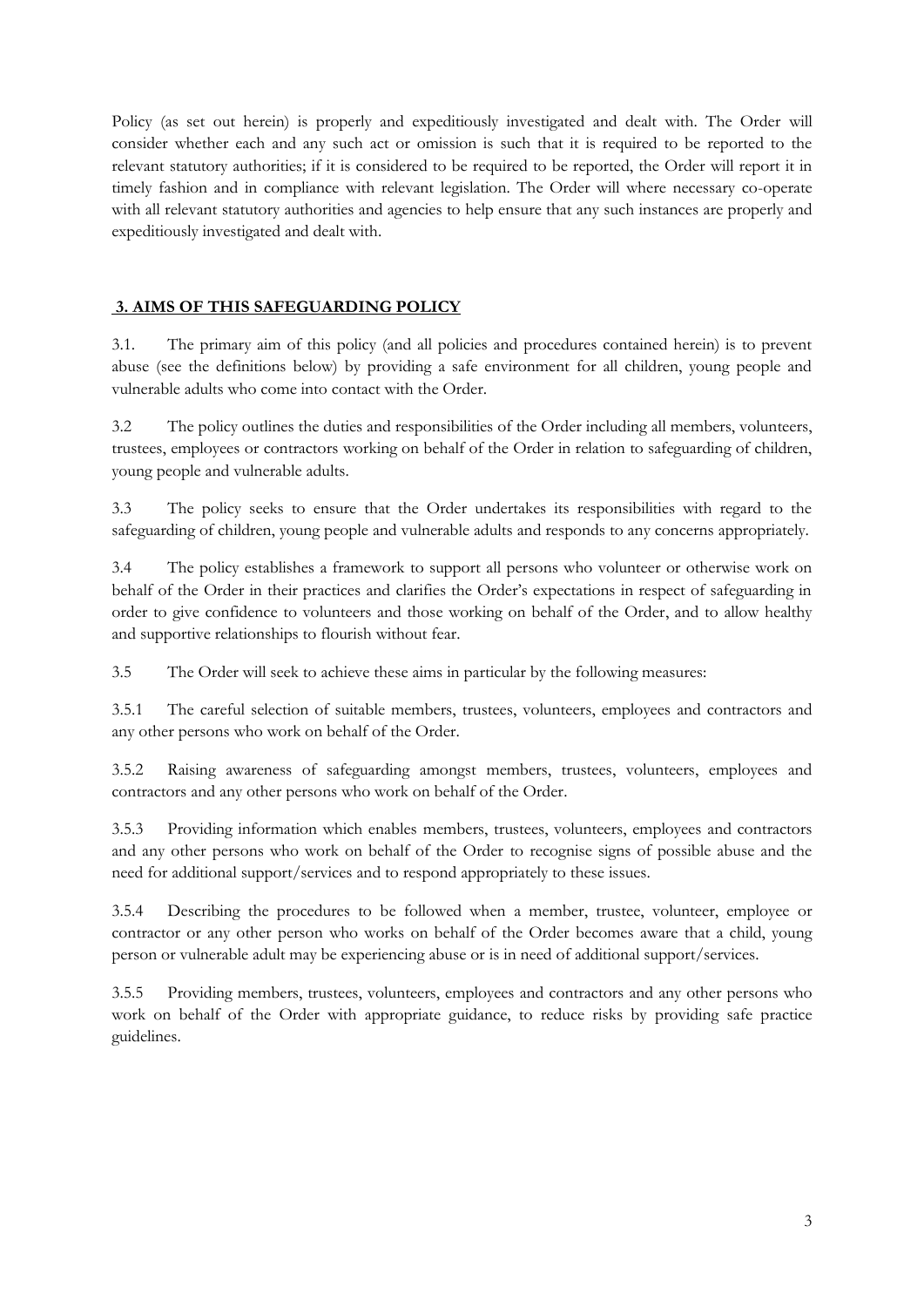Policy (as set out herein) is properly and expeditiously investigated and dealt with. The Order will consider whether each and any such act or omission is such that it is required to be reported to the relevant statutory authorities; if it is considered to be required to be reported, the Order will report it in timely fashion and in compliance with relevant legislation. The Order will where necessary co-operate with all relevant statutory authorities and agencies to help ensure that any such instances are properly and expeditiously investigated and dealt with.

# **3. AIMS OF THIS SAFEGUARDING POLICY**

3.1. The primary aim of this policy (and all policies and procedures contained herein) is to prevent abuse (see the definitions below) by providing a safe environment for all children, young people and vulnerable adults who come into contact with the Order.

3.2 The policy outlines the duties and responsibilities of the Order including all members, volunteers, trustees, employees or contractors working on behalf of the Order in relation to safeguarding of children, young people and vulnerable adults.

3.3 The policy seeks to ensure that the Order undertakes its responsibilities with regard to the safeguarding of children, young people and vulnerable adults and responds to any concerns appropriately.

3.4 The policy establishes a framework to support all persons who volunteer or otherwise work on behalf of the Order in their practices and clarifies the Order's expectations in respect of safeguarding in order to give confidence to volunteers and those working on behalf of the Order, and to allow healthy and supportive relationships to flourish without fear.

3.5 The Order will seek to achieve these aims in particular by the following measures:

3.5.1 The careful selection of suitable members, trustees, volunteers, employees and contractors and any other persons who work on behalf of the Order.

3.5.2 Raising awareness of safeguarding amongst members, trustees, volunteers, employees and contractors and any other persons who work on behalf of the Order.

3.5.3 Providing information which enables members, trustees, volunteers, employees and contractors and any other persons who work on behalf of the Order to recognise signs of possible abuse and the need for additional support/services and to respond appropriately to these issues.

3.5.4 Describing the procedures to be followed when a member, trustee, volunteer, employee or contractor or any other person who works on behalf of the Order becomes aware that a child, young person or vulnerable adult may be experiencing abuse or is in need of additional support/services.

3.5.5 Providing members, trustees, volunteers, employees and contractors and any other persons who work on behalf of the Order with appropriate guidance, to reduce risks by providing safe practice guidelines.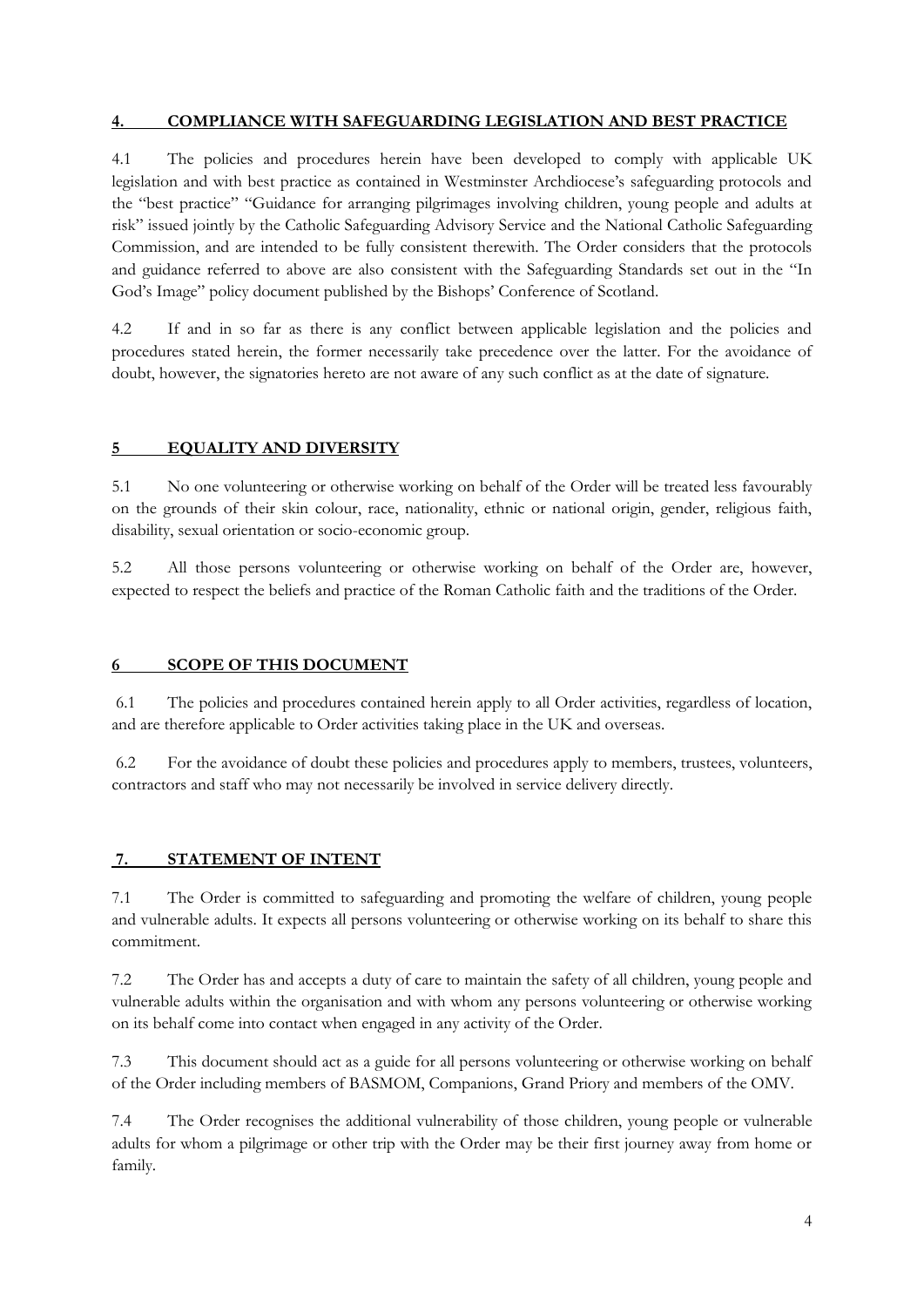### **4. COMPLIANCE WITH SAFEGUARDING LEGISLATION AND BEST PRACTICE**

4.1 The policies and procedures herein have been developed to comply with applicable UK legislation and with best practice as contained in Westminster Archdiocese's safeguarding protocols and the "best practice" "Guidance for arranging pilgrimages involving children, young people and adults at risk" issued jointly by the Catholic Safeguarding Advisory Service and the National Catholic Safeguarding Commission, and are intended to be fully consistent therewith. The Order considers that the protocols and guidance referred to above are also consistent with the Safeguarding Standards set out in the "In God's Image" policy document published by the Bishops' Conference of Scotland.

4.2 If and in so far as there is any conflict between applicable legislation and the policies and procedures stated herein, the former necessarily take precedence over the latter. For the avoidance of doubt, however, the signatories hereto are not aware of any such conflict as at the date of signature.

### **5 EQUALITY AND DIVERSITY**

5.1 No one volunteering or otherwise working on behalf of the Order will be treated less favourably on the grounds of their skin colour, race, nationality, ethnic or national origin, gender, religious faith, disability, sexual orientation or socio-economic group.

5.2 All those persons volunteering or otherwise working on behalf of the Order are, however, expected to respect the beliefs and practice of the Roman Catholic faith and the traditions of the Order.

#### **6 SCOPE OF THIS DOCUMENT**

6.1 The policies and procedures contained herein apply to all Order activities, regardless of location, and are therefore applicable to Order activities taking place in the UK and overseas.

6.2 For the avoidance of doubt these policies and procedures apply to members, trustees, volunteers, contractors and staff who may not necessarily be involved in service delivery directly.

#### **7. STATEMENT OF INTENT**

7.1 The Order is committed to safeguarding and promoting the welfare of children, young people and vulnerable adults. It expects all persons volunteering or otherwise working on its behalf to share this commitment.

7.2 The Order has and accepts a duty of care to maintain the safety of all children, young people and vulnerable adults within the organisation and with whom any persons volunteering or otherwise working on its behalf come into contact when engaged in any activity of the Order.

7.3 This document should act as a guide for all persons volunteering or otherwise working on behalf of the Order including members of BASMOM, Companions, Grand Priory and members of the OMV.

7.4 The Order recognises the additional vulnerability of those children, young people or vulnerable adults for whom a pilgrimage or other trip with the Order may be their first journey away from home or family.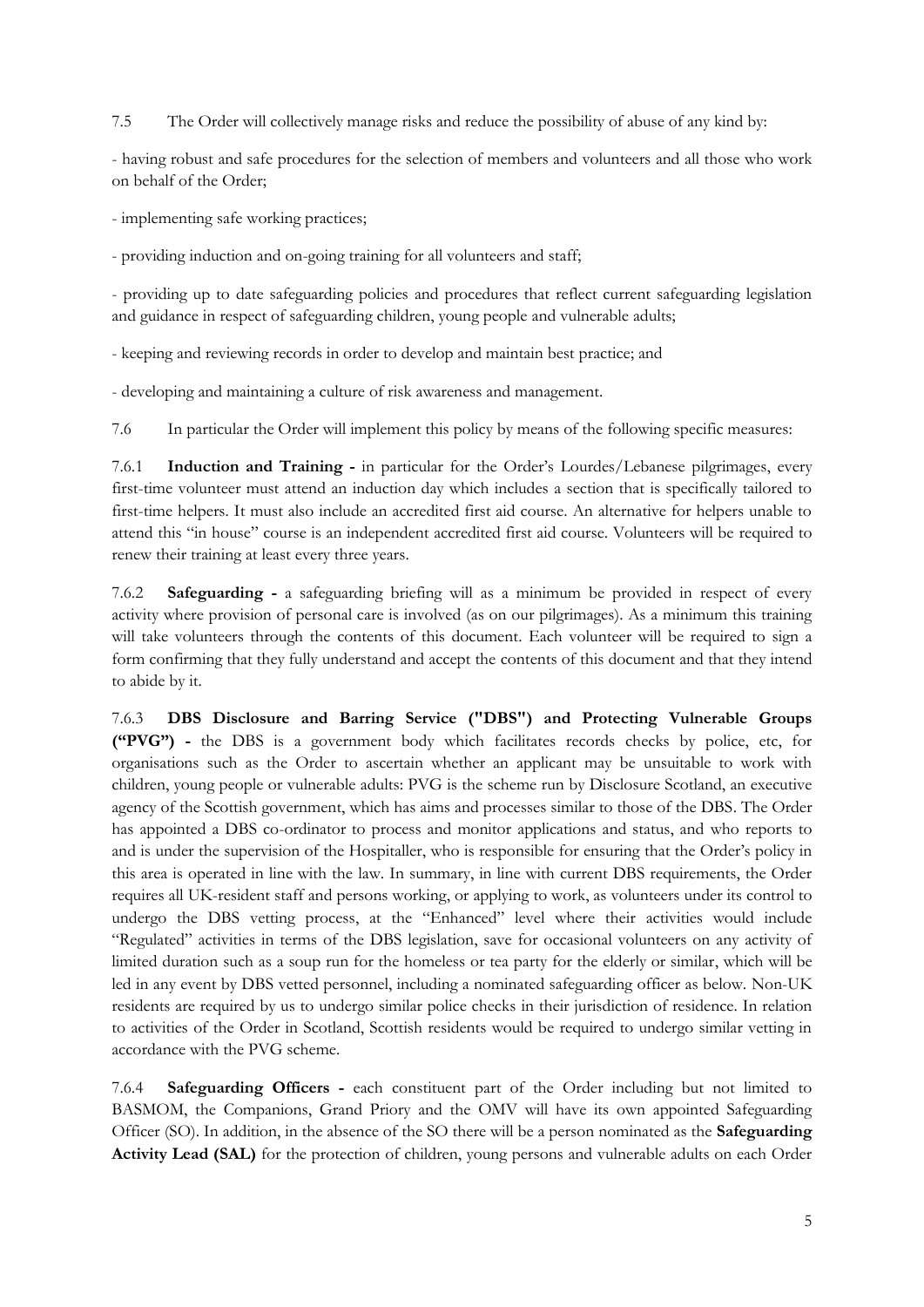7.5 The Order will collectively manage risks and reduce the possibility of abuse of any kind by:

- having robust and safe procedures for the selection of members and volunteers and all those who work on behalf of the Order;

- implementing safe working practices;

- providing induction and on-going training for all volunteers and staff;

- providing up to date safeguarding policies and procedures that reflect current safeguarding legislation and guidance in respect of safeguarding children, young people and vulnerable adults;

- keeping and reviewing records in order to develop and maintain best practice; and

- developing and maintaining a culture of risk awareness and management.

7.6 In particular the Order will implement this policy by means of the following specific measures:

7.6.1 **Induction and Training -** in particular for the Order's Lourdes/Lebanese pilgrimages, every first-time volunteer must attend an induction day which includes a section that is specifically tailored to first-time helpers. It must also include an accredited first aid course. An alternative for helpers unable to attend this "in house" course is an independent accredited first aid course. Volunteers will be required to renew their training at least every three years.

7.6.2 **Safeguarding -** a safeguarding briefing will as a minimum be provided in respect of every activity where provision of personal care is involved (as on our pilgrimages). As a minimum this training will take volunteers through the contents of this document. Each volunteer will be required to sign a form confirming that they fully understand and accept the contents of this document and that they intend to abide by it.

7.6.3 **DBS Disclosure and Barring Service ("DBS") and Protecting Vulnerable Groups ("PVG") -** the DBS is a government body which facilitates records checks by police, etc, for organisations such as the Order to ascertain whether an applicant may be unsuitable to work with children, young people or vulnerable adults: PVG is the scheme run by Disclosure Scotland, an executive agency of the Scottish government, which has aims and processes similar to those of the DBS. The Order has appointed a DBS co-ordinator to process and monitor applications and status, and who reports to and is under the supervision of the Hospitaller, who is responsible for ensuring that the Order's policy in this area is operated in line with the law. In summary, in line with current DBS requirements, the Order requires all UK-resident staff and persons working, or applying to work, as volunteers under its control to undergo the DBS vetting process, at the "Enhanced" level where their activities would include "Regulated" activities in terms of the DBS legislation, save for occasional volunteers on any activity of limited duration such as a soup run for the homeless or tea party for the elderly or similar, which will be led in any event by DBS vetted personnel, including a nominated safeguarding officer as below. Non-UK residents are required by us to undergo similar police checks in their jurisdiction of residence. In relation to activities of the Order in Scotland, Scottish residents would be required to undergo similar vetting in accordance with the PVG scheme.

7.6.4 **Safeguarding Officers -** each constituent part of the Order including but not limited to BASMOM, the Companions, Grand Priory and the OMV will have its own appointed Safeguarding Officer (SO). In addition, in the absence of the SO there will be a person nominated as the **Safeguarding Activity Lead (SAL)** for the protection of children, young persons and vulnerable adults on each Order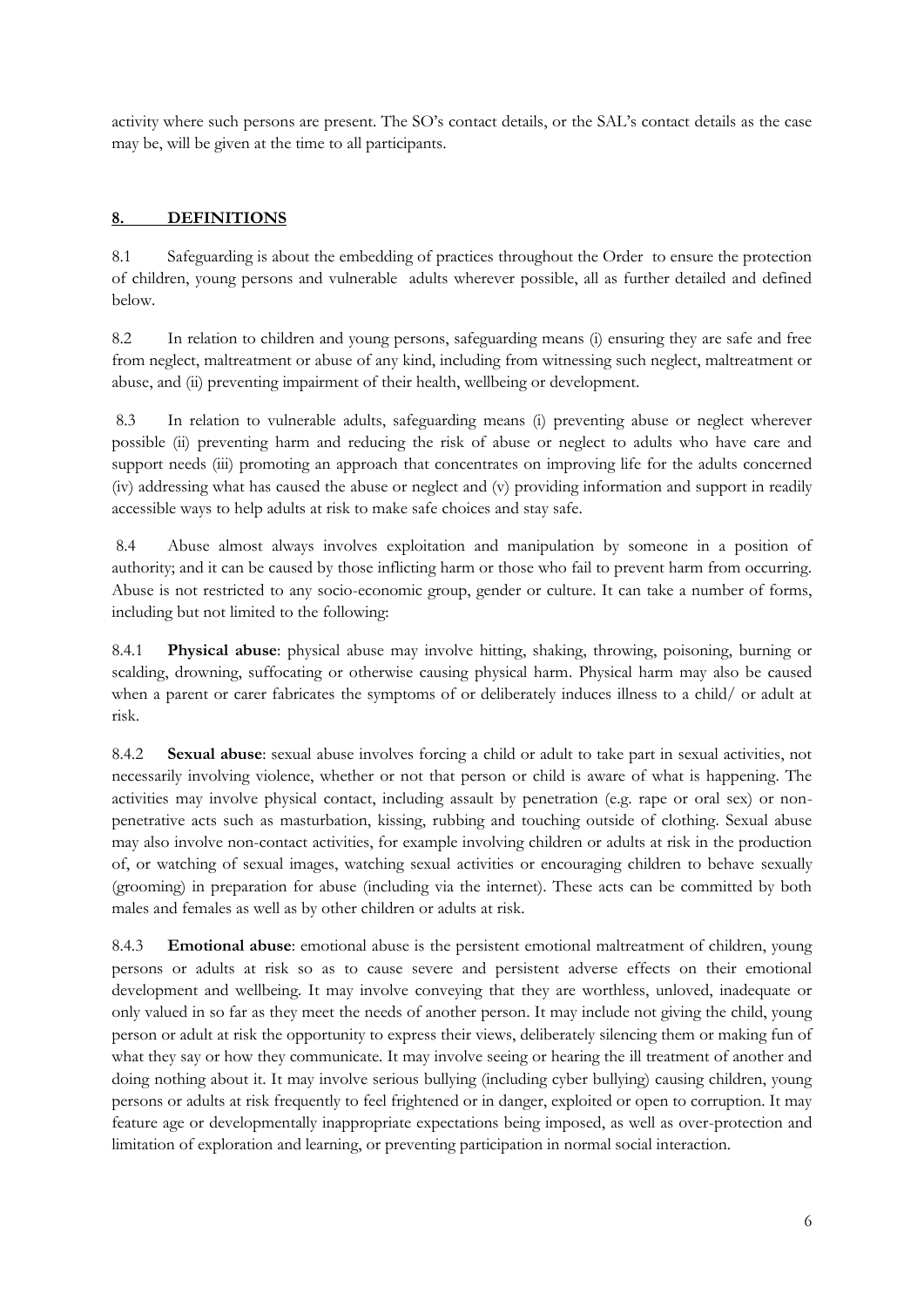activity where such persons are present. The SO's contact details, or the SAL's contact details as the case may be, will be given at the time to all participants.

# **8. DEFINITIONS**

8.1 Safeguarding is about the embedding of practices throughout the Order to ensure the protection of children, young persons and vulnerable adults wherever possible, all as further detailed and defined below.

8.2 In relation to children and young persons, safeguarding means (i) ensuring they are safe and free from neglect, maltreatment or abuse of any kind, including from witnessing such neglect, maltreatment or abuse, and (ii) preventing impairment of their health, wellbeing or development.

8.3 In relation to vulnerable adults, safeguarding means (i) preventing abuse or neglect wherever possible (ii) preventing harm and reducing the risk of abuse or neglect to adults who have care and support needs (iii) promoting an approach that concentrates on improving life for the adults concerned (iv) addressing what has caused the abuse or neglect and (v) providing information and support in readily accessible ways to help adults at risk to make safe choices and stay safe.

8.4 Abuse almost always involves exploitation and manipulation by someone in a position of authority; and it can be caused by those inflicting harm or those who fail to prevent harm from occurring. Abuse is not restricted to any socio-economic group, gender or culture. It can take a number of forms, including but not limited to the following:

8.4.1 **Physical abuse**: physical abuse may involve hitting, shaking, throwing, poisoning, burning or scalding, drowning, suffocating or otherwise causing physical harm. Physical harm may also be caused when a parent or carer fabricates the symptoms of or deliberately induces illness to a child/ or adult at risk.

8.4.2 **Sexual abuse**: sexual abuse involves forcing a child or adult to take part in sexual activities, not necessarily involving violence, whether or not that person or child is aware of what is happening. The activities may involve physical contact, including assault by penetration (e.g. rape or oral sex) or nonpenetrative acts such as masturbation, kissing, rubbing and touching outside of clothing. Sexual abuse may also involve non-contact activities, for example involving children or adults at risk in the production of, or watching of sexual images, watching sexual activities or encouraging children to behave sexually (grooming) in preparation for abuse (including via the internet). These acts can be committed by both males and females as well as by other children or adults at risk.

8.4.3 **Emotional abuse**: emotional abuse is the persistent emotional maltreatment of children, young persons or adults at risk so as to cause severe and persistent adverse effects on their emotional development and wellbeing. It may involve conveying that they are worthless, unloved, inadequate or only valued in so far as they meet the needs of another person. It may include not giving the child, young person or adult at risk the opportunity to express their views, deliberately silencing them or making fun of what they say or how they communicate. It may involve seeing or hearing the ill treatment of another and doing nothing about it. It may involve serious bullying (including cyber bullying) causing children, young persons or adults at risk frequently to feel frightened or in danger, exploited or open to corruption. It may feature age or developmentally inappropriate expectations being imposed, as well as over-protection and limitation of exploration and learning, or preventing participation in normal social interaction.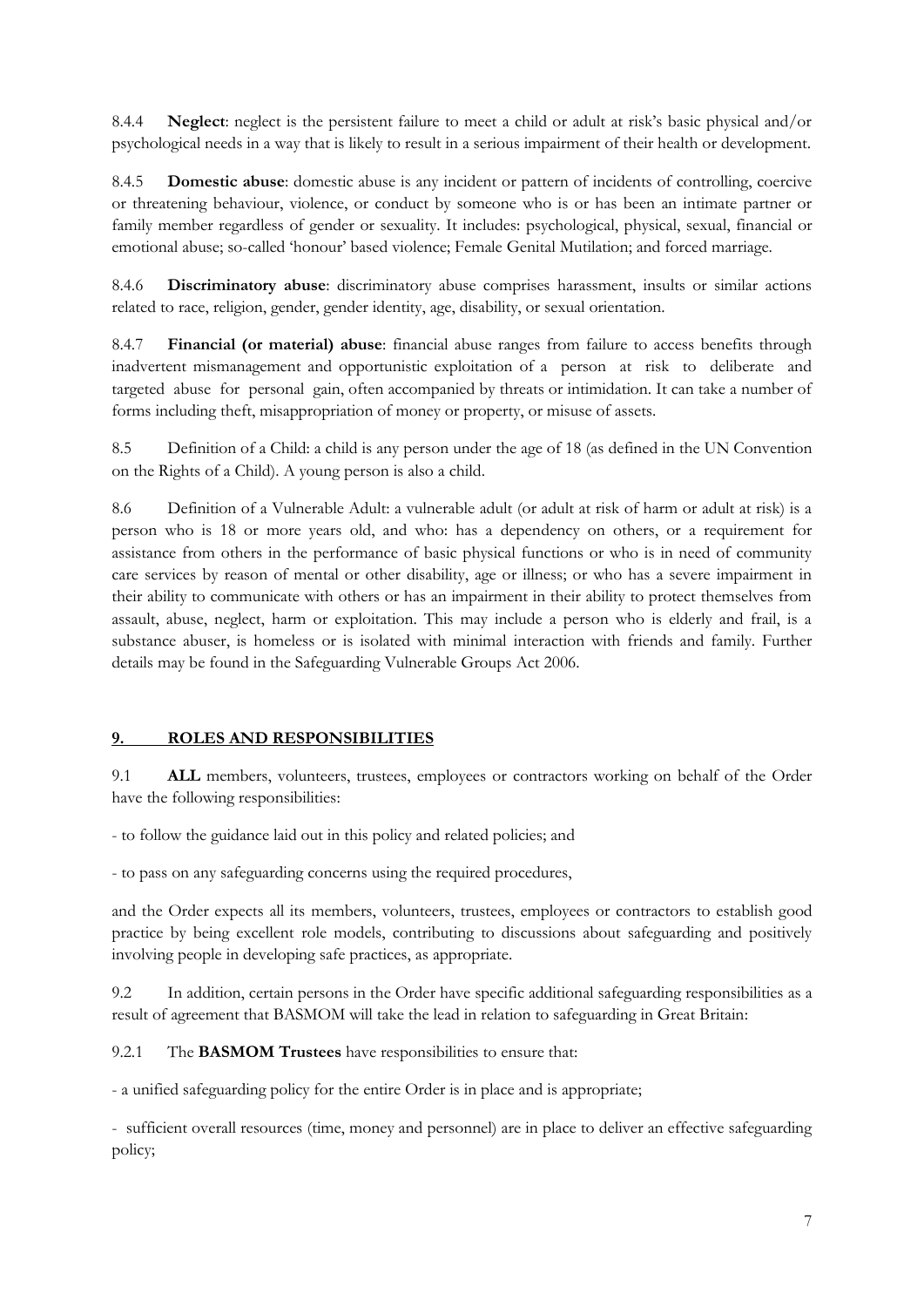8.4.4 **Neglect**: neglect is the persistent failure to meet a child or adult at risk's basic physical and/or psychological needs in a way that is likely to result in a serious impairment of their health or development.

8.4.5 **Domestic abuse**: domestic abuse is any incident or pattern of incidents of controlling, coercive or threatening behaviour, violence, or conduct by someone who is or has been an intimate partner or family member regardless of gender or sexuality. It includes: psychological, physical, sexual, financial or emotional abuse; so-called 'honour' based violence; Female Genital Mutilation; and forced marriage.

8.4.6 **Discriminatory abuse**: discriminatory abuse comprises harassment, insults or similar actions related to race, religion, gender, gender identity, age, disability, or sexual orientation.

8.4.7 **Financial (or material) abuse**: financial abuse ranges from failure to access benefits through inadvertent mismanagement and opportunistic exploitation of a person at risk to deliberate and targeted abuse for personal gain, often accompanied by threats or intimidation. It can take a number of forms including theft, misappropriation of money or property, or misuse of assets.

8.5 Definition of a Child: a child is any person under the age of 18 (as defined in the UN Convention on the Rights of a Child). A young person is also a child.

8.6 Definition of a Vulnerable Adult: a vulnerable adult (or adult at risk of harm or adult at risk) is a person who is 18 or more years old, and who: has a dependency on others, or a requirement for assistance from others in the performance of basic physical functions or who is in need of community care services by reason of mental or other disability, age or illness; or who has a severe impairment in their ability to communicate with others or has an impairment in their ability to protect themselves from assault, abuse, neglect, harm or exploitation. This may include a person who is elderly and frail, is a substance abuser, is homeless or is isolated with minimal interaction with friends and family. Further details may be found in the Safeguarding Vulnerable Groups Act 2006.

# **9. ROLES AND RESPONSIBILITIES**

9.1 **ALL** members, volunteers, trustees, employees or contractors working on behalf of the Order have the following responsibilities:

- to follow the guidance laid out in this policy and related policies; and

- to pass on any safeguarding concerns using the required procedures,

and the Order expects all its members, volunteers, trustees, employees or contractors to establish good practice by being excellent role models, contributing to discussions about safeguarding and positively involving people in developing safe practices, as appropriate.

9.2 In addition, certain persons in the Order have specific additional safeguarding responsibilities as a result of agreement that BASMOM will take the lead in relation to safeguarding in Great Britain:

9.2.1 The **BASMOM Trustees** have responsibilities to ensure that:

- a unified safeguarding policy for the entire Order is in place and is appropriate;

- sufficient overall resources (time, money and personnel) are in place to deliver an effective safeguarding policy;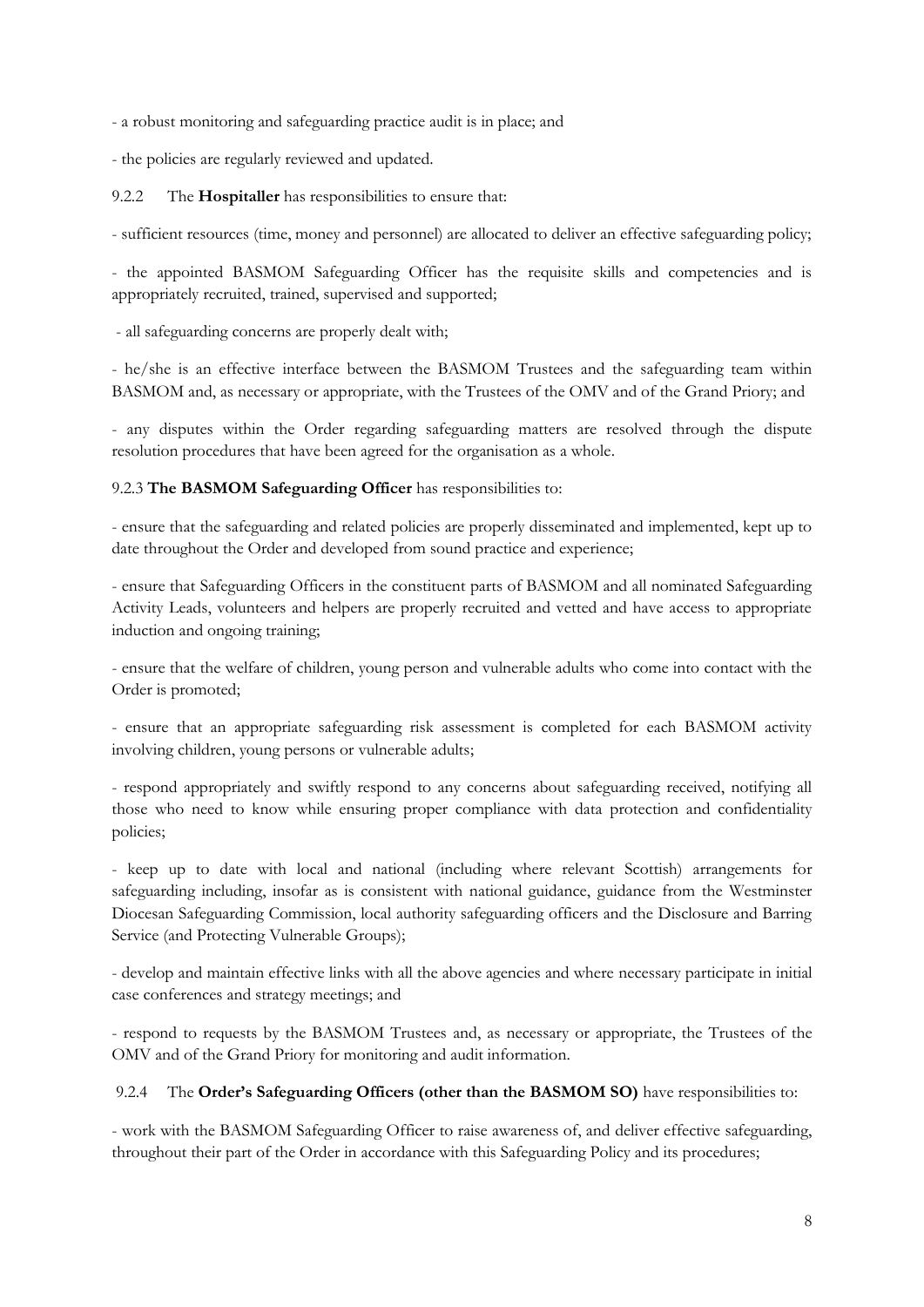- a robust monitoring and safeguarding practice audit is in place; and

- the policies are regularly reviewed and updated.

9.2.2 The **Hospitaller** has responsibilities to ensure that:

- sufficient resources (time, money and personnel) are allocated to deliver an effective safeguarding policy;

- the appointed BASMOM Safeguarding Officer has the requisite skills and competencies and is appropriately recruited, trained, supervised and supported;

- all safeguarding concerns are properly dealt with;

- he/she is an effective interface between the BASMOM Trustees and the safeguarding team within BASMOM and, as necessary or appropriate, with the Trustees of the OMV and of the Grand Priory; and

- any disputes within the Order regarding safeguarding matters are resolved through the dispute resolution procedures that have been agreed for the organisation as a whole.

### 9.2.3 **The BASMOM Safeguarding Officer** has responsibilities to:

- ensure that the safeguarding and related policies are properly disseminated and implemented, kept up to date throughout the Order and developed from sound practice and experience;

- ensure that Safeguarding Officers in the constituent parts of BASMOM and all nominated Safeguarding Activity Leads, volunteers and helpers are properly recruited and vetted and have access to appropriate induction and ongoing training;

- ensure that the welfare of children, young person and vulnerable adults who come into contact with the Order is promoted;

- ensure that an appropriate safeguarding risk assessment is completed for each BASMOM activity involving children, young persons or vulnerable adults;

- respond appropriately and swiftly respond to any concerns about safeguarding received, notifying all those who need to know while ensuring proper compliance with data protection and confidentiality policies;

- keep up to date with local and national (including where relevant Scottish) arrangements for safeguarding including, insofar as is consistent with national guidance, guidance from the Westminster Diocesan Safeguarding Commission, local authority safeguarding officers and the Disclosure and Barring Service (and Protecting Vulnerable Groups);

- develop and maintain effective links with all the above agencies and where necessary participate in initial case conferences and strategy meetings; and

- respond to requests by the BASMOM Trustees and, as necessary or appropriate, the Trustees of the OMV and of the Grand Priory for monitoring and audit information.

#### 9.2.4 The **Order's Safeguarding Officers (other than the BASMOM SO)** have responsibilities to:

- work with the BASMOM Safeguarding Officer to raise awareness of, and deliver effective safeguarding, throughout their part of the Order in accordance with this Safeguarding Policy and its procedures;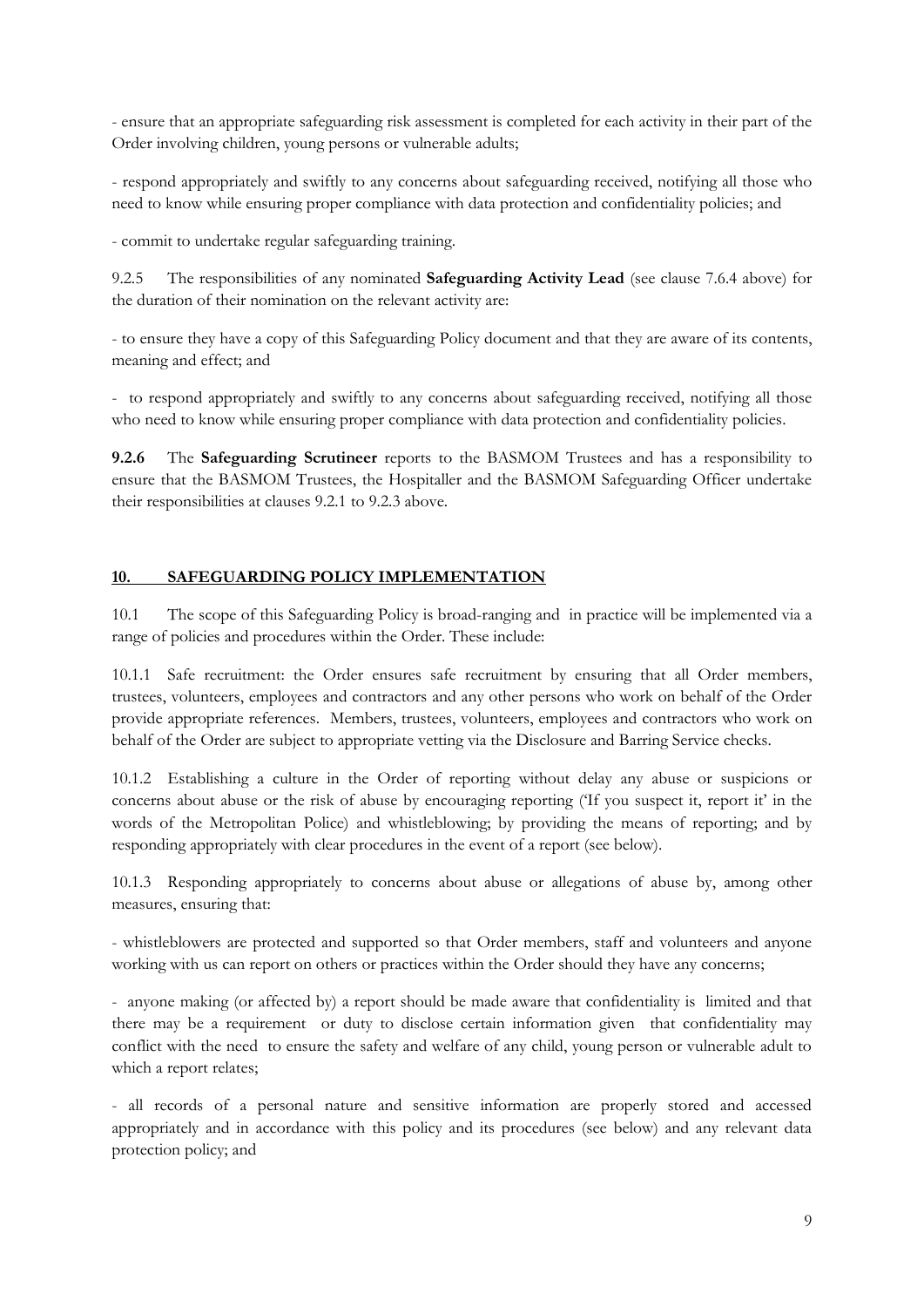- ensure that an appropriate safeguarding risk assessment is completed for each activity in their part of the Order involving children, young persons or vulnerable adults;

- respond appropriately and swiftly to any concerns about safeguarding received, notifying all those who need to know while ensuring proper compliance with data protection and confidentiality policies; and

- commit to undertake regular safeguarding training.

9.2.5 The responsibilities of any nominated **Safeguarding Activity Lead** (see clause 7.6.4 above) for the duration of their nomination on the relevant activity are:

- to ensure they have a copy of this Safeguarding Policy document and that they are aware of its contents, meaning and effect; and

- to respond appropriately and swiftly to any concerns about safeguarding received, notifying all those who need to know while ensuring proper compliance with data protection and confidentiality policies.

**9.2.6** The **Safeguarding Scrutineer** reports to the BASMOM Trustees and has a responsibility to ensure that the BASMOM Trustees, the Hospitaller and the BASMOM Safeguarding Officer undertake their responsibilities at clauses 9.2.1 to 9.2.3 above.

# **10. SAFEGUARDING POLICY IMPLEMENTATION**

10.1 The scope of this Safeguarding Policy is broad-ranging and in practice will be implemented via a range of policies and procedures within the Order. These include:

10.1.1 Safe recruitment: the Order ensures safe recruitment by ensuring that all Order members, trustees, volunteers, employees and contractors and any other persons who work on behalf of the Order provide appropriate references. Members, trustees, volunteers, employees and contractors who work on behalf of the Order are subject to appropriate vetting via the Disclosure and Barring Service checks.

10.1.2 Establishing a culture in the Order of reporting without delay any abuse or suspicions or concerns about abuse or the risk of abuse by encouraging reporting ('If you suspect it, report it' in the words of the Metropolitan Police) and whistleblowing; by providing the means of reporting; and by responding appropriately with clear procedures in the event of a report (see below).

10.1.3 Responding appropriately to concerns about abuse or allegations of abuse by, among other measures, ensuring that:

- whistleblowers are protected and supported so that Order members, staff and volunteers and anyone working with us can report on others or practices within the Order should they have any concerns;

- anyone making (or affected by) a report should be made aware that confidentiality is limited and that there may be a requirement or duty to disclose certain information given that confidentiality may conflict with the need to ensure the safety and welfare of any child, young person or vulnerable adult to which a report relates;

- all records of a personal nature and sensitive information are properly stored and accessed appropriately and in accordance with this policy and its procedures (see below) and any relevant data protection policy; and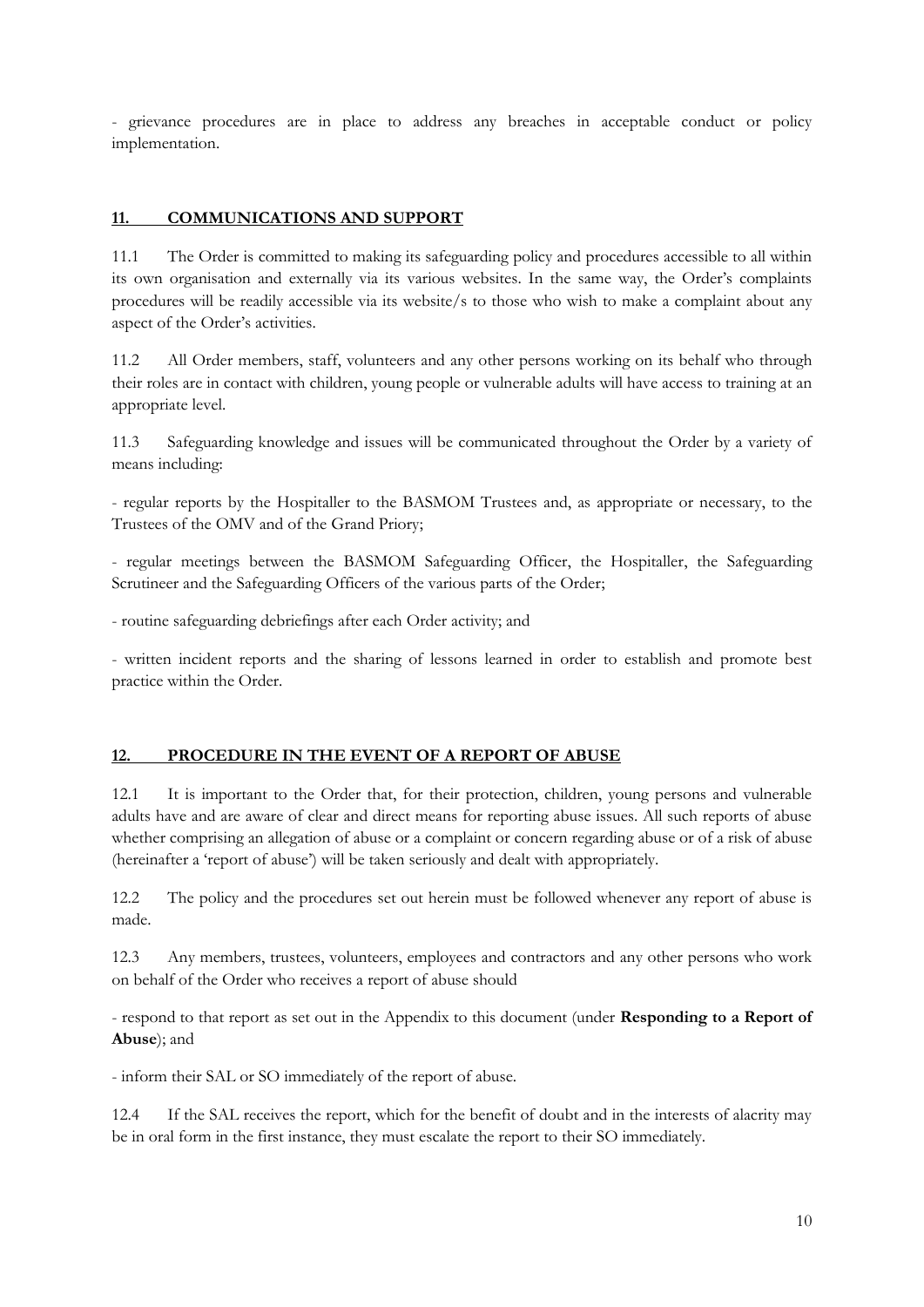- grievance procedures are in place to address any breaches in acceptable conduct or policy implementation.

### **11. COMMUNICATIONS AND SUPPORT**

11.1 The Order is committed to making its safeguarding policy and procedures accessible to all within its own organisation and externally via its various websites. In the same way, the Order's complaints procedures will be readily accessible via its website/s to those who wish to make a complaint about any aspect of the Order's activities.

11.2 All Order members, staff, volunteers and any other persons working on its behalf who through their roles are in contact with children, young people or vulnerable adults will have access to training at an appropriate level.

11.3 Safeguarding knowledge and issues will be communicated throughout the Order by a variety of means including:

- regular reports by the Hospitaller to the BASMOM Trustees and, as appropriate or necessary, to the Trustees of the OMV and of the Grand Priory;

- regular meetings between the BASMOM Safeguarding Officer, the Hospitaller, the Safeguarding Scrutineer and the Safeguarding Officers of the various parts of the Order;

- routine safeguarding debriefings after each Order activity; and

- written incident reports and the sharing of lessons learned in order to establish and promote best practice within the Order.

#### **12. PROCEDURE IN THE EVENT OF A REPORT OF ABUSE**

12.1 It is important to the Order that, for their protection, children, young persons and vulnerable adults have and are aware of clear and direct means for reporting abuse issues. All such reports of abuse whether comprising an allegation of abuse or a complaint or concern regarding abuse or of a risk of abuse (hereinafter a 'report of abuse') will be taken seriously and dealt with appropriately.

12.2 The policy and the procedures set out herein must be followed whenever any report of abuse is made.

12.3 Any members, trustees, volunteers, employees and contractors and any other persons who work on behalf of the Order who receives a report of abuse should

- respond to that report as set out in the Appendix to this document (under **Responding to a Report of Abuse**); and

- inform their SAL or SO immediately of the report of abuse.

12.4 If the SAL receives the report, which for the benefit of doubt and in the interests of alacrity may be in oral form in the first instance, they must escalate the report to their SO immediately.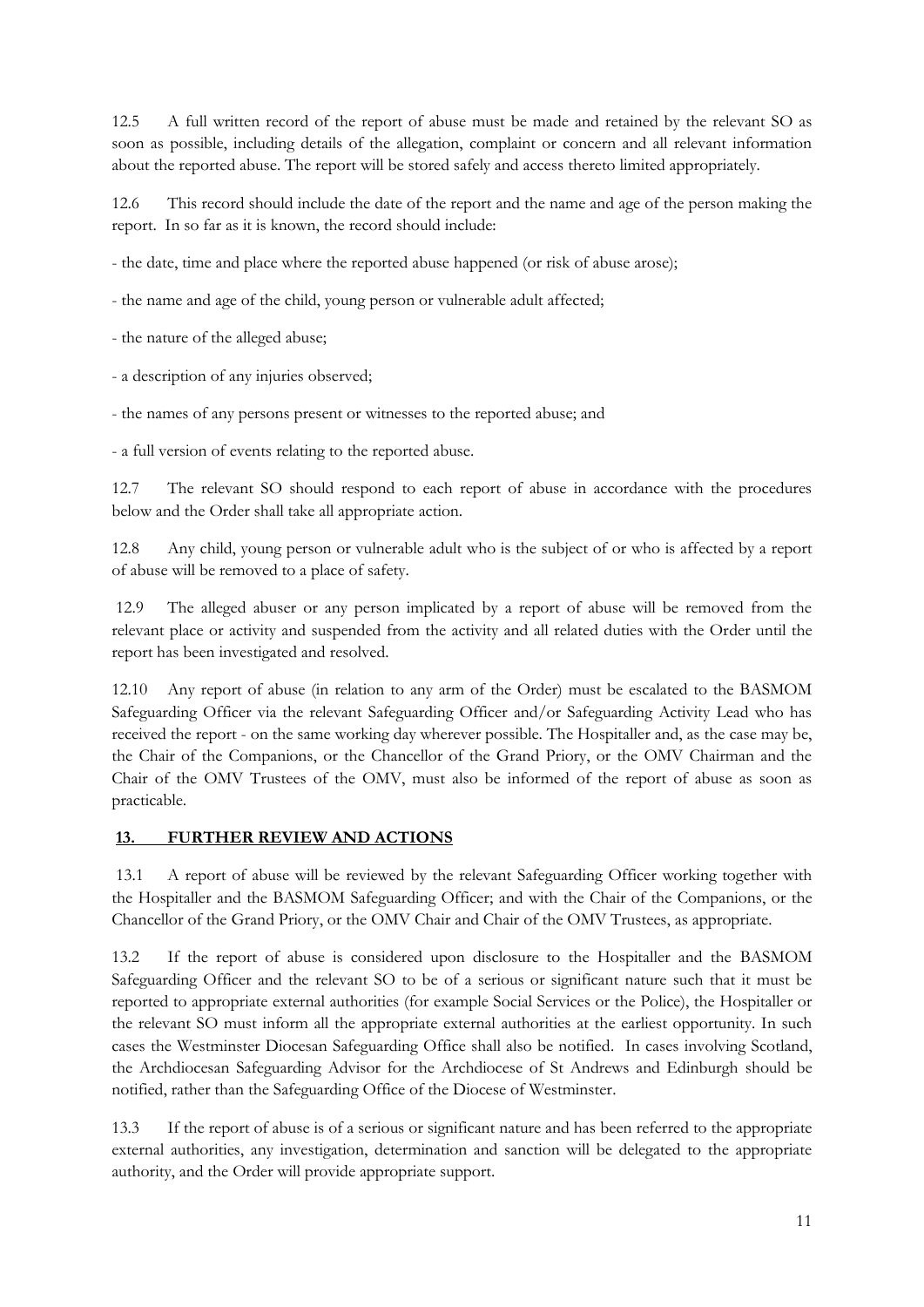12.5 A full written record of the report of abuse must be made and retained by the relevant SO as soon as possible, including details of the allegation, complaint or concern and all relevant information about the reported abuse. The report will be stored safely and access thereto limited appropriately.

12.6 This record should include the date of the report and the name and age of the person making the report. In so far as it is known, the record should include:

- the date, time and place where the reported abuse happened (or risk of abuse arose);

- the name and age of the child, young person or vulnerable adult affected;

- the nature of the alleged abuse;

- a description of any injuries observed;

- the names of any persons present or witnesses to the reported abuse; and

- a full version of events relating to the reported abuse.

12.7 The relevant SO should respond to each report of abuse in accordance with the procedures below and the Order shall take all appropriate action.

12.8 Any child, young person or vulnerable adult who is the subject of or who is affected by a report of abuse will be removed to a place of safety.

12.9 The alleged abuser or any person implicated by a report of abuse will be removed from the relevant place or activity and suspended from the activity and all related duties with the Order until the report has been investigated and resolved.

12.10 Any report of abuse (in relation to any arm of the Order) must be escalated to the BASMOM Safeguarding Officer via the relevant Safeguarding Officer and/or Safeguarding Activity Lead who has received the report - on the same working day wherever possible. The Hospitaller and, as the case may be, the Chair of the Companions, or the Chancellor of the Grand Priory, or the OMV Chairman and the Chair of the OMV Trustees of the OMV, must also be informed of the report of abuse as soon as practicable.

# **13. FURTHER REVIEW AND ACTIONS**

13.1 A report of abuse will be reviewed by the relevant Safeguarding Officer working together with the Hospitaller and the BASMOM Safeguarding Officer; and with the Chair of the Companions, or the Chancellor of the Grand Priory, or the OMV Chair and Chair of the OMV Trustees, as appropriate.

13.2 If the report of abuse is considered upon disclosure to the Hospitaller and the BASMOM Safeguarding Officer and the relevant SO to be of a serious or significant nature such that it must be reported to appropriate external authorities (for example Social Services or the Police), the Hospitaller or the relevant SO must inform all the appropriate external authorities at the earliest opportunity. In such cases the Westminster Diocesan Safeguarding Office shall also be notified. In cases involving Scotland, the Archdiocesan Safeguarding Advisor for the Archdiocese of St Andrews and Edinburgh should be notified, rather than the Safeguarding Office of the Diocese of Westminster.

13.3 If the report of abuse is of a serious or significant nature and has been referred to the appropriate external authorities, any investigation, determination and sanction will be delegated to the appropriate authority, and the Order will provide appropriate support.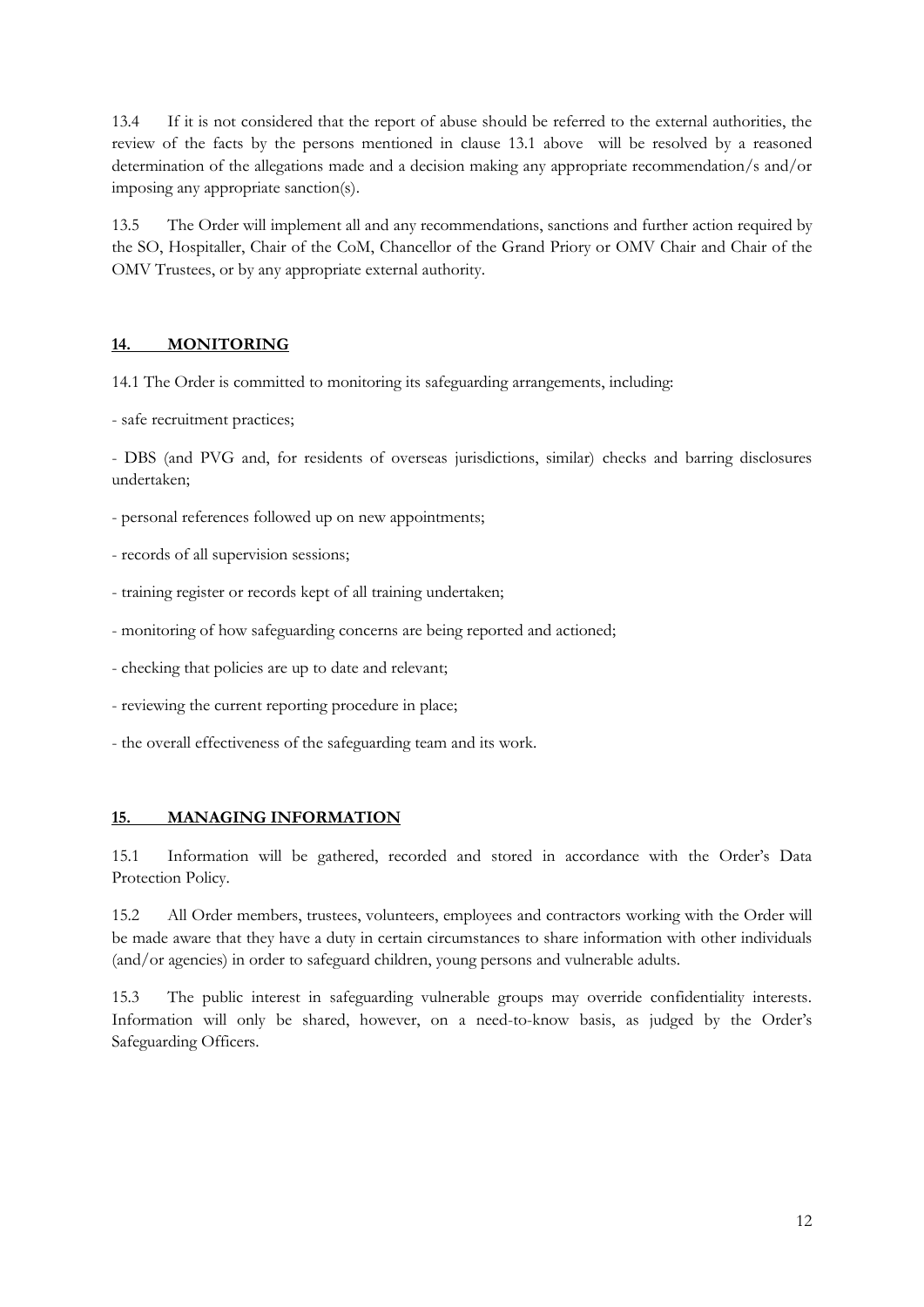13.4 If it is not considered that the report of abuse should be referred to the external authorities, the review of the facts by the persons mentioned in clause 13.1 above will be resolved by a reasoned determination of the allegations made and a decision making any appropriate recommendation/s and/or imposing any appropriate sanction(s).

13.5 The Order will implement all and any recommendations, sanctions and further action required by the SO, Hospitaller, Chair of the CoM, Chancellor of the Grand Priory or OMV Chair and Chair of the OMV Trustees, or by any appropriate external authority.

# **14. MONITORING**

14.1 The Order is committed to monitoring its safeguarding arrangements, including:

- safe recruitment practices;

- DBS (and PVG and, for residents of overseas jurisdictions, similar) checks and barring disclosures undertaken;

- personal references followed up on new appointments;
- records of all supervision sessions;
- training register or records kept of all training undertaken;
- monitoring of how safeguarding concerns are being reported and actioned;
- checking that policies are up to date and relevant;
- reviewing the current reporting procedure in place;
- the overall effectiveness of the safeguarding team and its work.

# **15. MANAGING INFORMATION**

15.1 Information will be gathered, recorded and stored in accordance with the Order's Data Protection Policy.

15.2 All Order members, trustees, volunteers, employees and contractors working with the Order will be made aware that they have a duty in certain circumstances to share information with other individuals (and/or agencies) in order to safeguard children, young persons and vulnerable adults.

15.3 The public interest in safeguarding vulnerable groups may override confidentiality interests. Information will only be shared, however, on a need-to-know basis, as judged by the Order's Safeguarding Officers.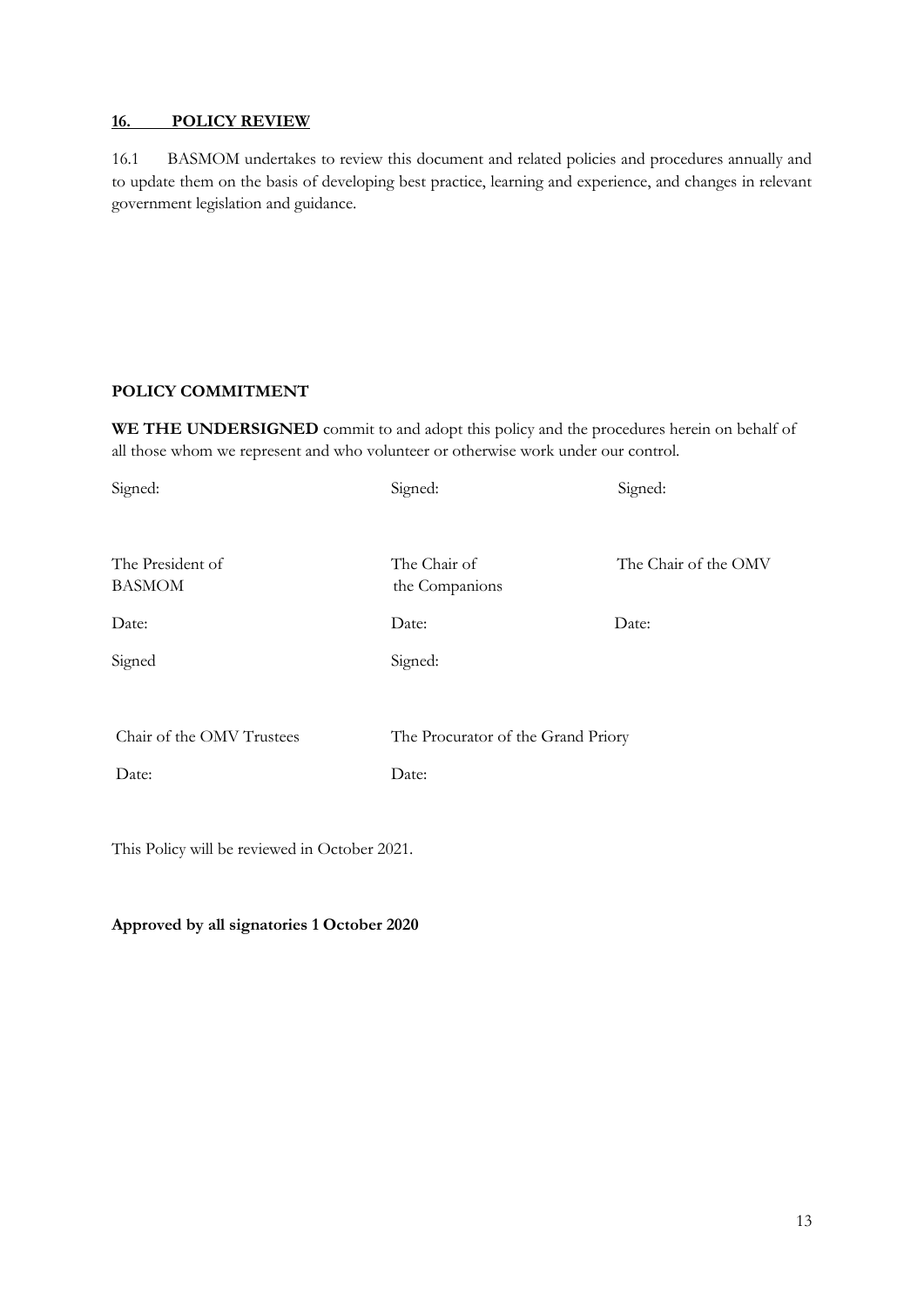### **16. POLICY REVIEW**

16.1 BASMOM undertakes to review this document and related policies and procedures annually and to update them on the basis of developing best practice, learning and experience, and changes in relevant government legislation and guidance.

# **POLICY COMMITMENT**

**WE THE UNDERSIGNED** commit to and adopt this policy and the procedures herein on behalf of all those whom we represent and who volunteer or otherwise work under our control.

| Signed:                   | Signed:                            | Signed:              |
|---------------------------|------------------------------------|----------------------|
|                           |                                    |                      |
| The President of          | The Chair of                       | The Chair of the OMV |
| <b>BASMOM</b>             | the Companions                     |                      |
| Date:                     | Date:                              | Date:                |
| Signed                    | Signed:                            |                      |
|                           |                                    |                      |
| Chair of the OMV Trustees | The Procurator of the Grand Priory |                      |
| Date:                     | Date:                              |                      |
|                           |                                    |                      |

This Policy will be reviewed in October 2021.

# **Approved by all signatories 1 October 2020**